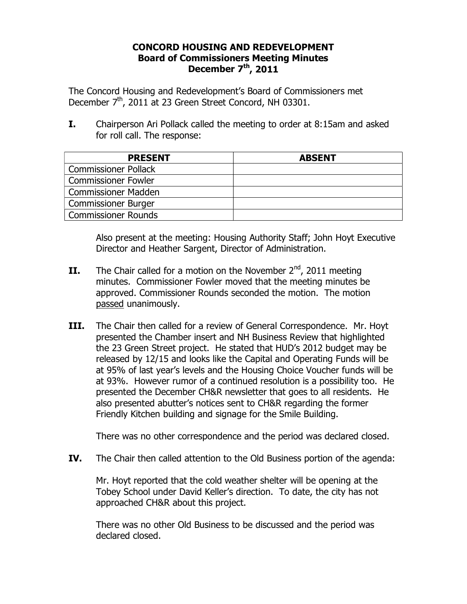## **CONCORD HOUSING AND REDEVELOPMENT Board of Commissioners Meeting Minutes December 7th, 2011**

The Concord Housing and Redevelopment's Board of Commissioners met December 7<sup>th</sup>, 2011 at 23 Green Street Concord, NH 03301.

**I.** Chairperson Ari Pollack called the meeting to order at 8:15am and asked for roll call. The response:

| <b>PRESENT</b>              | <b>ABSENT</b> |
|-----------------------------|---------------|
| <b>Commissioner Pollack</b> |               |
| <b>Commissioner Fowler</b>  |               |
| <b>Commissioner Madden</b>  |               |
| <b>Commissioner Burger</b>  |               |
| Commissioner Rounds         |               |

Also present at the meeting: Housing Authority Staff; John Hoyt Executive Director and Heather Sargent, Director of Administration.

- **II.** The Chair called for a motion on the November  $2^{nd}$ , 2011 meeting minutes. Commissioner Fowler moved that the meeting minutes be approved. Commissioner Rounds seconded the motion. The motion passed unanimously.
- **III.** The Chair then called for a review of General Correspondence. Mr. Hoyt presented the Chamber insert and NH Business Review that highlighted the 23 Green Street project. He stated that HUD's 2012 budget may be released by 12/15 and looks like the Capital and Operating Funds will be at 95% of last year's levels and the Housing Choice Voucher funds will be at 93%. However rumor of a continued resolution is a possibility too. He presented the December CH&R newsletter that goes to all residents. He also presented abutter's notices sent to CH&R regarding the former Friendly Kitchen building and signage for the Smile Building.

There was no other correspondence and the period was declared closed.

**IV.** The Chair then called attention to the Old Business portion of the agenda:

Mr. Hoyt reported that the cold weather shelter will be opening at the Tobey School under David Keller's direction. To date, the city has not approached CH&R about this project.

There was no other Old Business to be discussed and the period was declared closed.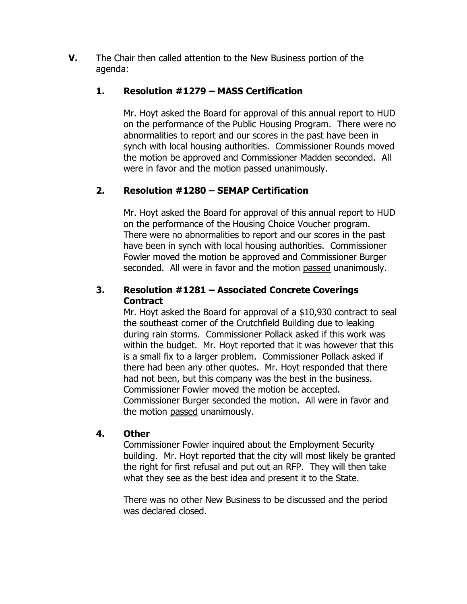**V.** The Chair then called attention to the New Business portion of the agenda:

# **1. Resolution #1279 – MASS Certification**

Mr. Hoyt asked the Board for approval of this annual report to HUD on the performance of the Public Housing Program. There were no abnormalities to report and our scores in the past have been in synch with local housing authorities. Commissioner Rounds moved the motion be approved and Commissioner Madden seconded. All were in favor and the motion passed unanimously.

# **2. Resolution #1280 – SEMAP Certification**

Mr. Hoyt asked the Board for approval of this annual report to HUD on the performance of the Housing Choice Voucher program. There were no abnormalities to report and our scores in the past have been in synch with local housing authorities. Commissioner Fowler moved the motion be approved and Commissioner Burger seconded. All were in favor and the motion passed unanimously.

# **3. Resolution #1281 – Associated Concrete Coverings Contract**

Mr. Hoyt asked the Board for approval of a \$10,930 contract to seal the southeast corner of the Crutchfield Building due to leaking during rain storms. Commissioner Pollack asked if this work was within the budget. Mr. Hoyt reported that it was however that this is a small fix to a larger problem. Commissioner Pollack asked if there had been any other quotes. Mr. Hoyt responded that there had not been, but this company was the best in the business. Commissioner Fowler moved the motion be accepted. Commissioner Burger seconded the motion. All were in favor and the motion passed unanimously.

#### **4. Other**

Commissioner Fowler inquired about the Employment Security building. Mr. Hoyt reported that the city will most likely be granted the right for first refusal and put out an RFP. They will then take what they see as the best idea and present it to the State.

There was no other New Business to be discussed and the period was declared closed.